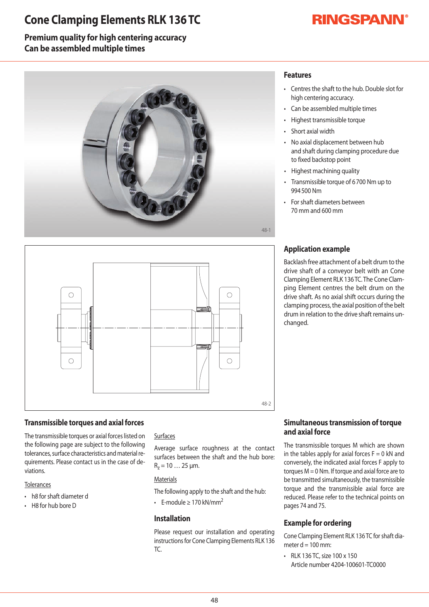## **Cone Clamping Elements RLK 136 TC**

# **RINGSPANN®**

## **Premium quality for high centering accuracy Can be assembled multiple times**





### **Transmissible torques and axial forces**

The transmissible torques or axial forces listed on the following page are subject to the following tolerances, surface characteristics and material requirements. Please contact us in the case of deviations.

#### **Tolerances**

- h8 for shaft diameter d
- $\cdot$  H8 for hub bore D

#### Surfaces

Average surface roughness at the contact surfaces between the shaft and the hub bore:  $R_z = 10...25 \mu m$ .

#### **Materials**

The following apply to the shaft and the hub:

• F-module > 170 kN/mm<sup>2</sup>

#### **Installation**

Please request our installation and operating instructions for Cone Clamping Elements RLK 136 TC.

## **Features**

- Centres the shaft to the hub. Double slot for high centering accuracy.
- Can be assembled multiple times
- Highest transmissible torque
- Short axial width
- No axial displacement between hub and shaft during clamping procedure due to fixed backstop point
- Highest machining quality
- Transmissible torque of 6700 Nm up to 994500Nm
- For shaft diameters between 70mmand600mm

### **Application example**

Backlash free attachment of a belt drum to the drive shaft of a conveyor belt with an Cone Clamping Element RLK 136 TC. The Cone Clamping Element centres the belt drum on the drive shaft. As no axial shift occurs during the clamping process, the axial position of the belt drum in relation to the drive shaft remains unchanged.

#### **Simultaneous transmission of torque and axial force**

The transmissible torques M which are shownin the tables apply for axial forces  $F=0$  kN and conversely, the indicated axial forces F apply to torques  $M = 0$  Nm. If torque and axial force are to be transmitted simultaneously, the transmissible torque and the transmissible axial force are reduced. Please refer to the technical points on pages 74 and 75.

### **Example for ordering**

Cone Clamping Element RLK 136 TC for shaft diameter  $d = 100$  mm:

• RLK 136 TC, size 100 x 150 Article number 4204-100601-TC0000